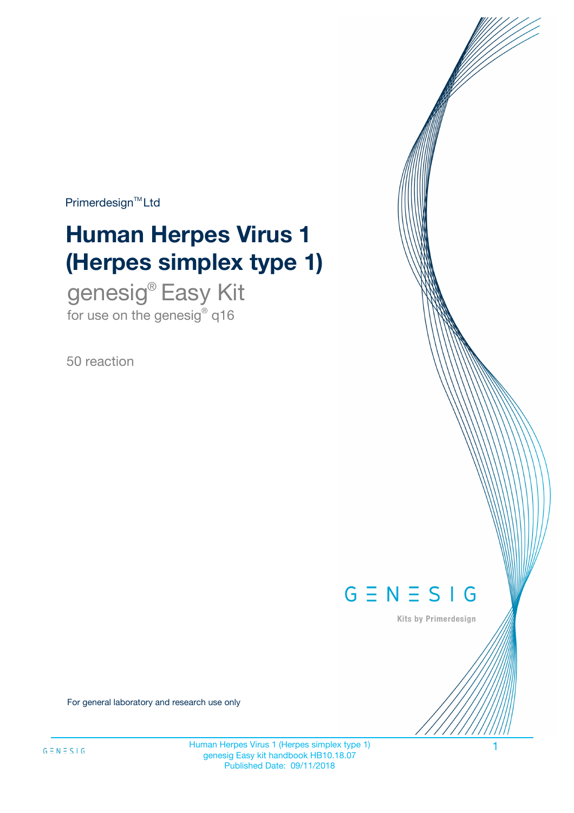$Primerdesign^{\text{TM}}Ltd$ 

# **Human Herpes Virus 1 (Herpes simplex type 1)**

genesig® Easy Kit for use on the genesig® q16

50 reaction



Kits by Primerdesign

For general laboratory and research use only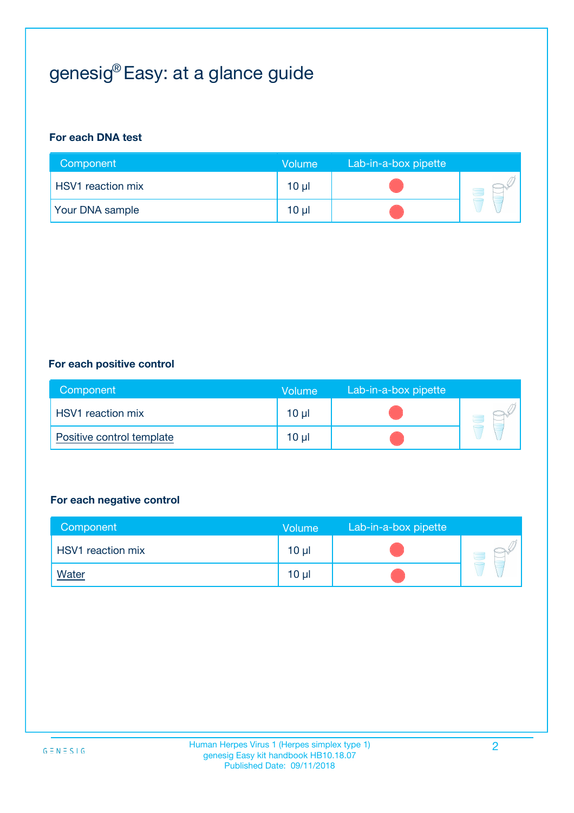# genesig® Easy: at a glance guide

#### **For each DNA test**

| Component                | <b>Volume</b> | Lab-in-a-box pipette |  |
|--------------------------|---------------|----------------------|--|
| <b>HSV1</b> reaction mix | $10 \mu$      |                      |  |
| <b>Your DNA sample</b>   | $10 \mu$      |                      |  |

#### **For each positive control**

| Component                 | Volume          | Lab-in-a-box pipette |  |
|---------------------------|-----------------|----------------------|--|
| HSV1 reaction mix         | $10 \mu$        |                      |  |
| Positive control template | 10 <sub>µ</sub> |                      |  |

#### **For each negative control**

| Component                | Volume          | Lab-in-a-box pipette |  |
|--------------------------|-----------------|----------------------|--|
| <b>HSV1</b> reaction mix | $10 \mu$        |                      |  |
| <u>Water</u>             | 10 <sub>µ</sub> |                      |  |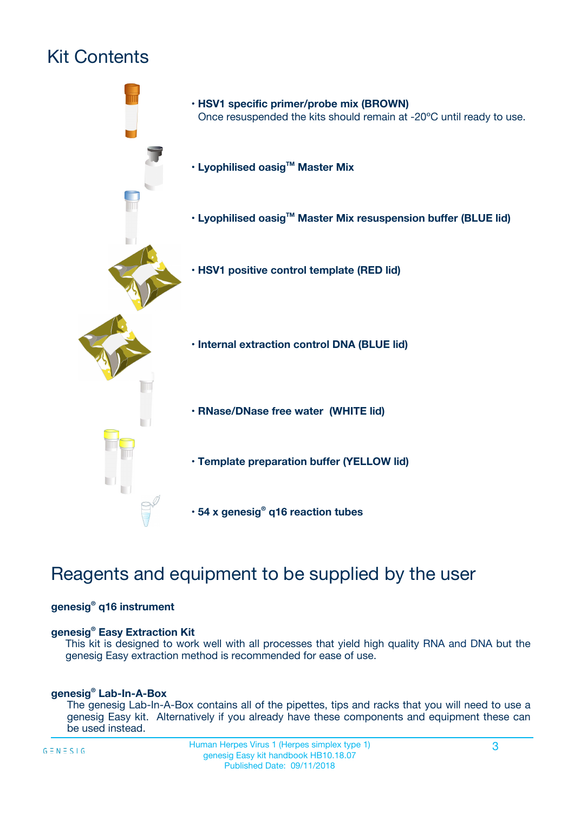# Kit Contents



## Reagents and equipment to be supplied by the user

#### **genesig® q16 instrument**

#### **genesig® Easy Extraction Kit**

This kit is designed to work well with all processes that yield high quality RNA and DNA but the genesig Easy extraction method is recommended for ease of use.

#### **genesig® Lab-In-A-Box**

The genesig Lab-In-A-Box contains all of the pipettes, tips and racks that you will need to use a genesig Easy kit. Alternatively if you already have these components and equipment these can be used instead.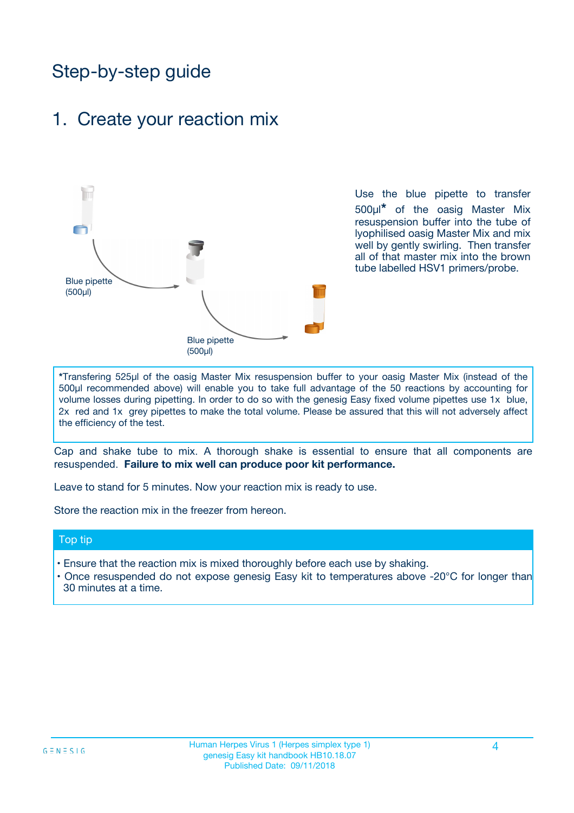## Step-by-step guide

## 1. Create your reaction mix



Use the blue pipette to transfer 500µl**\*** of the oasig Master Mix resuspension buffer into the tube of lyophilised oasig Master Mix and mix well by gently swirling. Then transfer all of that master mix into the brown tube labelled HSV1 primers/probe.

**\***Transfering 525µl of the oasig Master Mix resuspension buffer to your oasig Master Mix (instead of the 500µl recommended above) will enable you to take full advantage of the 50 reactions by accounting for volume losses during pipetting. In order to do so with the genesig Easy fixed volume pipettes use 1x blue, 2x red and 1x grey pipettes to make the total volume. Please be assured that this will not adversely affect the efficiency of the test.

Cap and shake tube to mix. A thorough shake is essential to ensure that all components are resuspended. **Failure to mix well can produce poor kit performance.**

Leave to stand for 5 minutes. Now your reaction mix is ready to use.

Store the reaction mix in the freezer from hereon.

#### Top tip

- Ensure that the reaction mix is mixed thoroughly before each use by shaking.
- **•** Once resuspended do not expose genesig Easy kit to temperatures above -20°C for longer than 30 minutes at a time.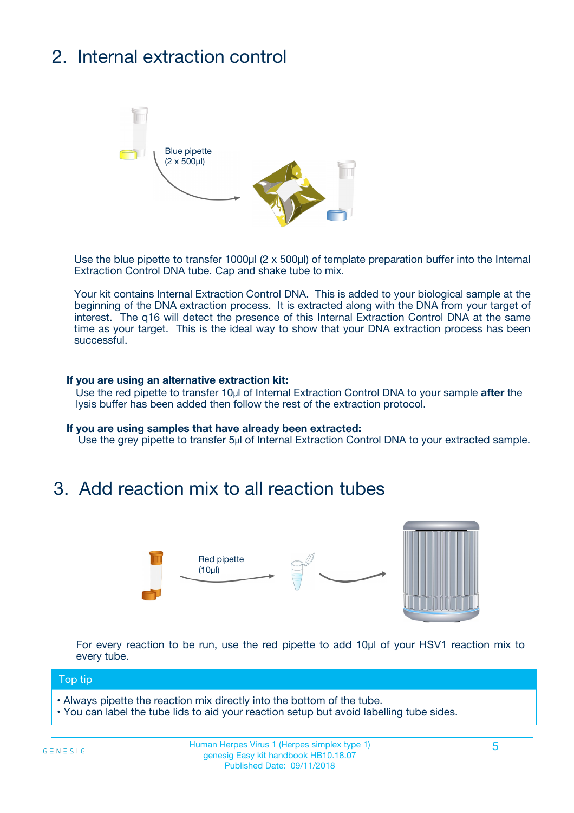# 2. Internal extraction control



Use the blue pipette to transfer 1000µl (2 x 500µl) of template preparation buffer into the Internal Extraction Control DNA tube. Cap and shake tube to mix.

Your kit contains Internal Extraction Control DNA. This is added to your biological sample at the beginning of the DNA extraction process. It is extracted along with the DNA from your target of interest. The q16 will detect the presence of this Internal Extraction Control DNA at the same time as your target. This is the ideal way to show that your DNA extraction process has been successful.

#### **If you are using an alternative extraction kit:**

Use the red pipette to transfer 10µl of Internal Extraction Control DNA to your sample **after** the lysis buffer has been added then follow the rest of the extraction protocol.

#### **If you are using samples that have already been extracted:**

Use the grey pipette to transfer 5µl of Internal Extraction Control DNA to your extracted sample.

## 3. Add reaction mix to all reaction tubes



For every reaction to be run, use the red pipette to add 10µl of your HSV1 reaction mix to every tube.

#### Top tip

- Always pipette the reaction mix directly into the bottom of the tube.
- You can label the tube lids to aid your reaction setup but avoid labelling tube sides.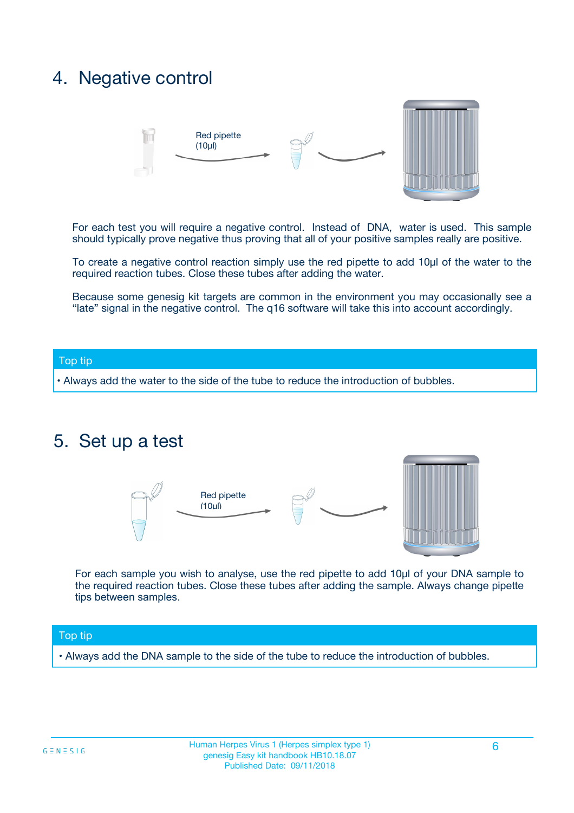## 4. Negative control



For each test you will require a negative control. Instead of DNA, water is used. This sample should typically prove negative thus proving that all of your positive samples really are positive.

To create a negative control reaction simply use the red pipette to add 10µl of the water to the required reaction tubes. Close these tubes after adding the water.

Because some genesig kit targets are common in the environment you may occasionally see a "late" signal in the negative control. The q16 software will take this into account accordingly.

#### Top tip

**•** Always add the water to the side of the tube to reduce the introduction of bubbles.

### 5. Set up a test



For each sample you wish to analyse, use the red pipette to add 10µl of your DNA sample to the required reaction tubes. Close these tubes after adding the sample. Always change pipette tips between samples.

#### Top tip

**•** Always add the DNA sample to the side of the tube to reduce the introduction of bubbles.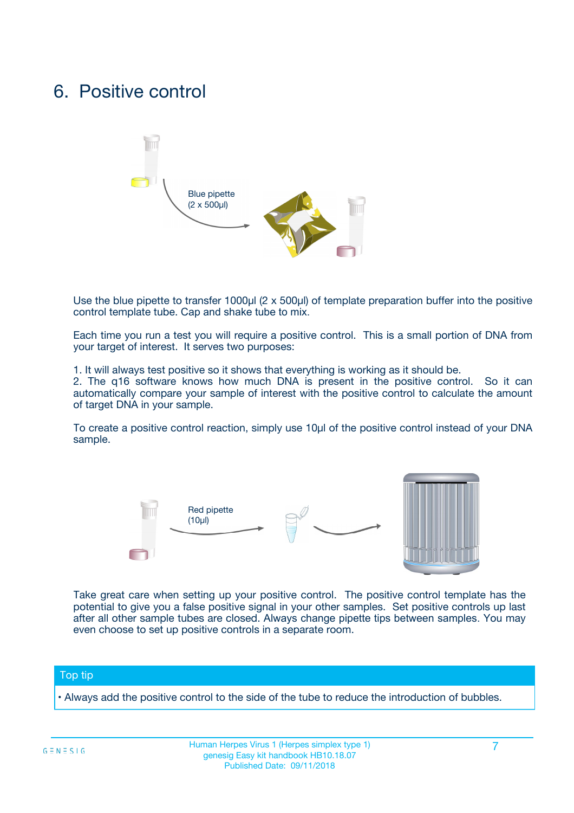## 6. Positive control



Use the blue pipette to transfer 1000µl (2 x 500µl) of template preparation buffer into the positive control template tube. Cap and shake tube to mix.

Each time you run a test you will require a positive control. This is a small portion of DNA from your target of interest. It serves two purposes:

1. It will always test positive so it shows that everything is working as it should be.

2. The q16 software knows how much DNA is present in the positive control. So it can automatically compare your sample of interest with the positive control to calculate the amount of target DNA in your sample.

To create a positive control reaction, simply use 10µl of the positive control instead of your DNA sample.



Take great care when setting up your positive control. The positive control template has the potential to give you a false positive signal in your other samples. Set positive controls up last after all other sample tubes are closed. Always change pipette tips between samples. You may even choose to set up positive controls in a separate room.

#### Top tip

**•** Always add the positive control to the side of the tube to reduce the introduction of bubbles.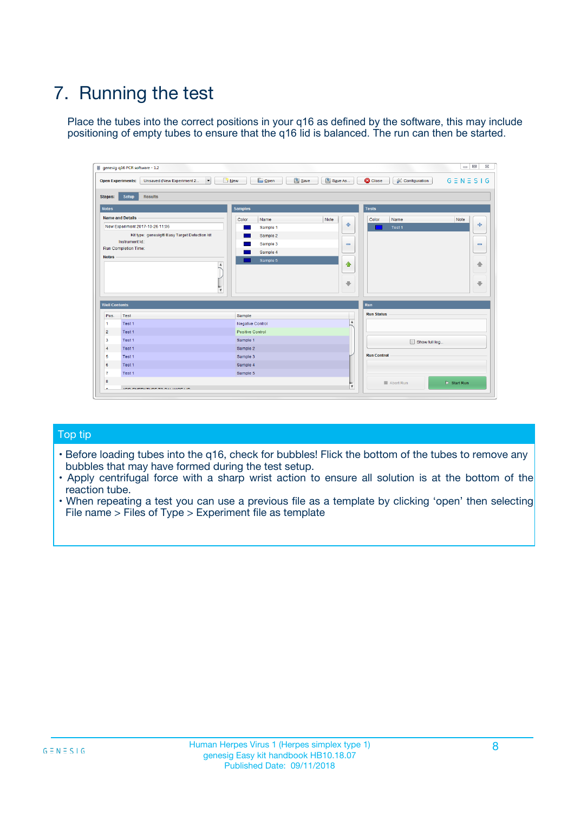# 7. Running the test

Place the tubes into the correct positions in your q16 as defined by the software, this may include positioning of empty tubes to ensure that the q16 lid is balanced. The run can then be started.

| genesig q16 PCR software - 1.2                                               |                                     | $\Box$                                                                                  |
|------------------------------------------------------------------------------|-------------------------------------|-----------------------------------------------------------------------------------------|
| Unsaved (New Experiment 2<br>$\vert \cdot \vert$<br><b>Open Experiments:</b> | <b>D</b> Open<br>Save<br>$\Box$ New | Save As<br><b>C</b> Close<br>$G \equiv N \equiv S \mid G$<br><b>&amp; Configuration</b> |
| Setup<br><b>Results</b><br><b>Stages:</b>                                    |                                     |                                                                                         |
| <b>Notes</b>                                                                 | Samples                             | <b>Tests</b>                                                                            |
| <b>Name and Details</b>                                                      | Color<br>Name                       | Note<br>Color<br>Note<br>Name                                                           |
| New Experiment 2017-10-26 11:06                                              | Sample 1                            | ع<br>条<br>Test 1                                                                        |
| Kit type: genesig® Easy Target Detection kit                                 | Sample 2                            |                                                                                         |
| Instrument Id.:                                                              | Sample 3                            | $\qquad \qquad \blacksquare$<br>$\qquad \qquad \blacksquare$                            |
| Run Completion Time:                                                         | Sample 4                            |                                                                                         |
| <b>Notes</b>                                                                 | Sample 5<br>A<br>v                  | $\triangle$<br>4<br>$\oplus$<br>₩                                                       |
| <b>Well Contents</b>                                                         |                                     | <b>Run</b>                                                                              |
| Pos.<br>Test                                                                 | Sample                              | <b>Run Status</b>                                                                       |
| Test 1<br>-1                                                                 | <b>Negative Control</b>             | $\blacktriangle$                                                                        |
| $\overline{2}$<br>Test 1                                                     | <b>Positive Control</b>             |                                                                                         |
| $\overline{\mathbf{3}}$<br>Test 1                                            | Sample 1                            | Show full log                                                                           |
| Test 1<br>$\overline{4}$                                                     | Sample 2                            |                                                                                         |
| 5<br>Test 1                                                                  | Sample 3                            | <b>Run Control</b>                                                                      |
| 6<br>Test 1                                                                  | Sample 4                            |                                                                                         |
| $\overline{7}$<br>Test 1                                                     | Sample 5                            |                                                                                         |
| 8                                                                            |                                     | $\triangleright$ Start Run<br>Abort Run                                                 |
| <b>JOD FURTY TUDE TO BUILDED IN</b>                                          |                                     | $\overline{\mathbf{v}}$                                                                 |

#### Top tip

- Before loading tubes into the q16, check for bubbles! Flick the bottom of the tubes to remove any bubbles that may have formed during the test setup.
- Apply centrifugal force with a sharp wrist action to ensure all solution is at the bottom of the reaction tube.
- When repeating a test you can use a previous file as a template by clicking 'open' then selecting File name > Files of Type > Experiment file as template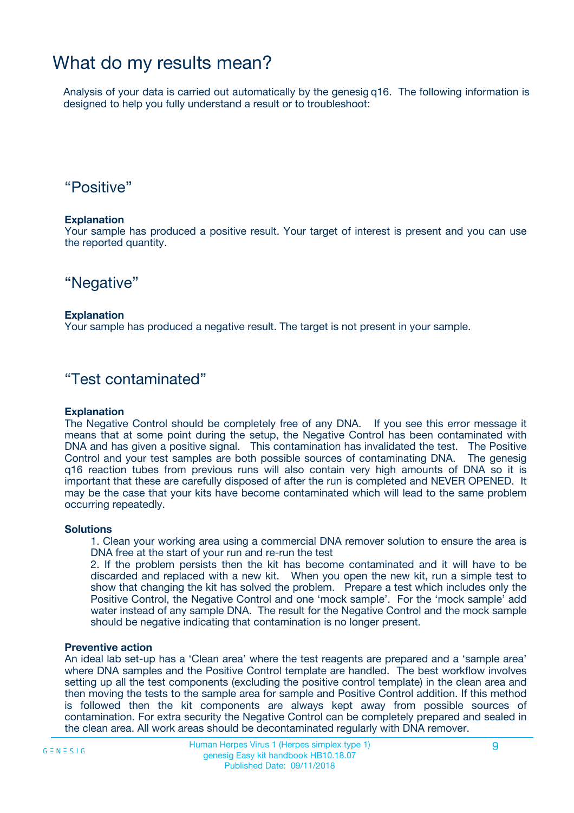## What do my results mean?

Analysis of your data is carried out automatically by the genesig q16. The following information is designed to help you fully understand a result or to troubleshoot:

### "Positive"

#### **Explanation**

Your sample has produced a positive result. Your target of interest is present and you can use the reported quantity.

"Negative"

#### **Explanation**

Your sample has produced a negative result. The target is not present in your sample.

### "Test contaminated"

#### **Explanation**

The Negative Control should be completely free of any DNA. If you see this error message it means that at some point during the setup, the Negative Control has been contaminated with DNA and has given a positive signal. This contamination has invalidated the test. The Positive Control and your test samples are both possible sources of contaminating DNA. The genesig q16 reaction tubes from previous runs will also contain very high amounts of DNA so it is important that these are carefully disposed of after the run is completed and NEVER OPENED. It may be the case that your kits have become contaminated which will lead to the same problem occurring repeatedly.

#### **Solutions**

1. Clean your working area using a commercial DNA remover solution to ensure the area is DNA free at the start of your run and re-run the test

2. If the problem persists then the kit has become contaminated and it will have to be discarded and replaced with a new kit. When you open the new kit, run a simple test to show that changing the kit has solved the problem. Prepare a test which includes only the Positive Control, the Negative Control and one 'mock sample'. For the 'mock sample' add water instead of any sample DNA. The result for the Negative Control and the mock sample should be negative indicating that contamination is no longer present.

#### **Preventive action**

An ideal lab set-up has a 'Clean area' where the test reagents are prepared and a 'sample area' where DNA samples and the Positive Control template are handled. The best workflow involves setting up all the test components (excluding the positive control template) in the clean area and then moving the tests to the sample area for sample and Positive Control addition. If this method is followed then the kit components are always kept away from possible sources of contamination. For extra security the Negative Control can be completely prepared and sealed in the clean area. All work areas should be decontaminated regularly with DNA remover.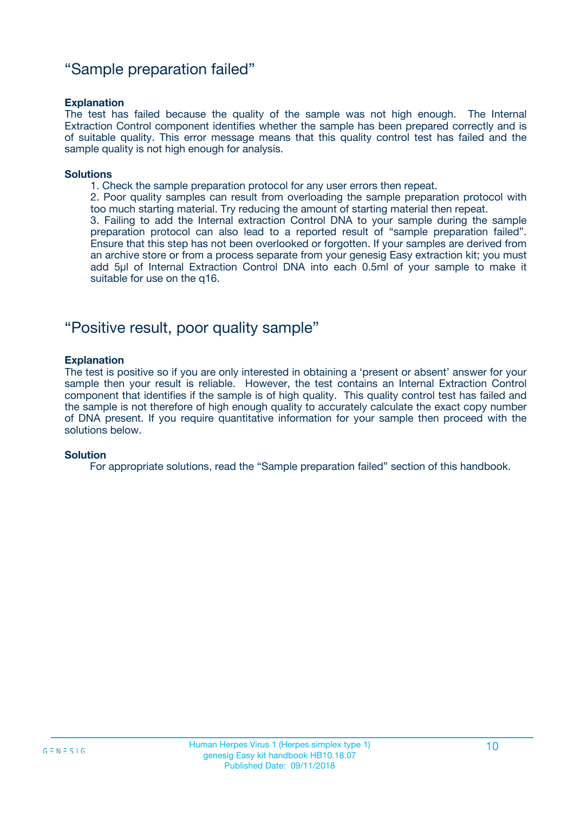### "Sample preparation failed"

#### **Explanation**

The test has failed because the quality of the sample was not high enough. The Internal Extraction Control component identifies whether the sample has been prepared correctly and is of suitable quality. This error message means that this quality control test has failed and the sample quality is not high enough for analysis.

#### **Solutions**

1. Check the sample preparation protocol for any user errors then repeat.

2. Poor quality samples can result from overloading the sample preparation protocol with too much starting material. Try reducing the amount of starting material then repeat.

3. Failing to add the Internal extraction Control DNA to your sample during the sample preparation protocol can also lead to a reported result of "sample preparation failed". Ensure that this step has not been overlooked or forgotten. If your samples are derived from an archive store or from a process separate from your genesig Easy extraction kit; you must add 5µl of Internal Extraction Control DNA into each 0.5ml of your sample to make it suitable for use on the q16.

### "Positive result, poor quality sample"

#### **Explanation**

The test is positive so if you are only interested in obtaining a 'present or absent' answer for your sample then your result is reliable. However, the test contains an Internal Extraction Control component that identifies if the sample is of high quality. This quality control test has failed and the sample is not therefore of high enough quality to accurately calculate the exact copy number of DNA present. If you require quantitative information for your sample then proceed with the solutions below.

#### **Solution**

For appropriate solutions, read the "Sample preparation failed" section of this handbook.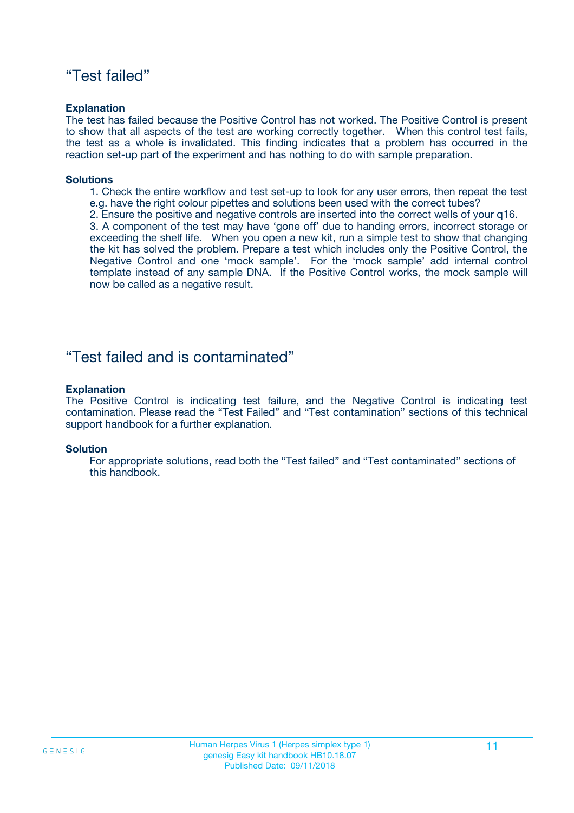### "Test failed"

#### **Explanation**

The test has failed because the Positive Control has not worked. The Positive Control is present to show that all aspects of the test are working correctly together. When this control test fails, the test as a whole is invalidated. This finding indicates that a problem has occurred in the reaction set-up part of the experiment and has nothing to do with sample preparation.

#### **Solutions**

- 1. Check the entire workflow and test set-up to look for any user errors, then repeat the test e.g. have the right colour pipettes and solutions been used with the correct tubes?
- 2. Ensure the positive and negative controls are inserted into the correct wells of your q16.

3. A component of the test may have 'gone off' due to handing errors, incorrect storage or exceeding the shelf life. When you open a new kit, run a simple test to show that changing the kit has solved the problem. Prepare a test which includes only the Positive Control, the Negative Control and one 'mock sample'. For the 'mock sample' add internal control template instead of any sample DNA. If the Positive Control works, the mock sample will now be called as a negative result.

### "Test failed and is contaminated"

#### **Explanation**

The Positive Control is indicating test failure, and the Negative Control is indicating test contamination. Please read the "Test Failed" and "Test contamination" sections of this technical support handbook for a further explanation.

#### **Solution**

For appropriate solutions, read both the "Test failed" and "Test contaminated" sections of this handbook.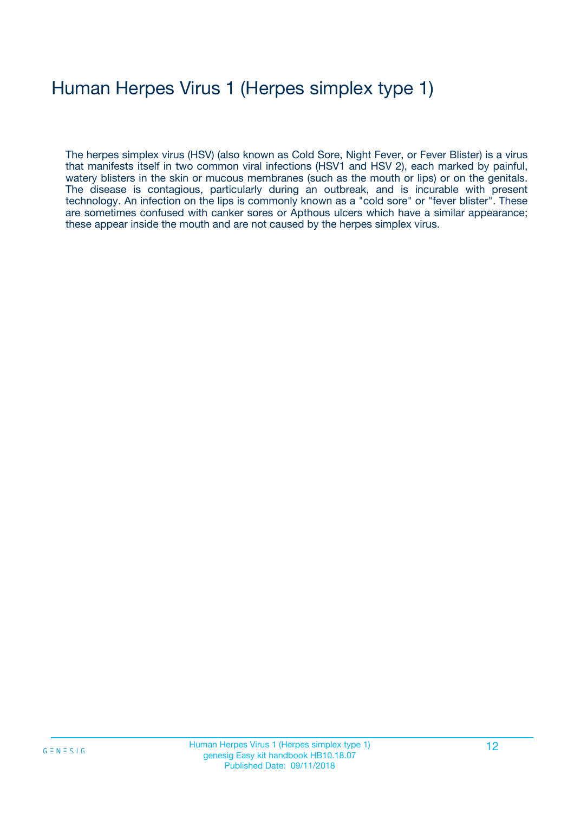# Human Herpes Virus 1 (Herpes simplex type 1)

The herpes simplex virus (HSV) (also known as Cold Sore, Night Fever, or Fever Blister) is a virus that manifests itself in two common viral infections (HSV1 and HSV 2), each marked by painful, watery blisters in the skin or mucous membranes (such as the mouth or lips) or on the genitals. The disease is contagious, particularly during an outbreak, and is incurable with present technology. An infection on the lips is commonly known as a "cold sore" or "fever blister". These are sometimes confused with canker sores or Apthous ulcers which have a similar appearance; these appear inside the mouth and are not caused by the herpes simplex virus.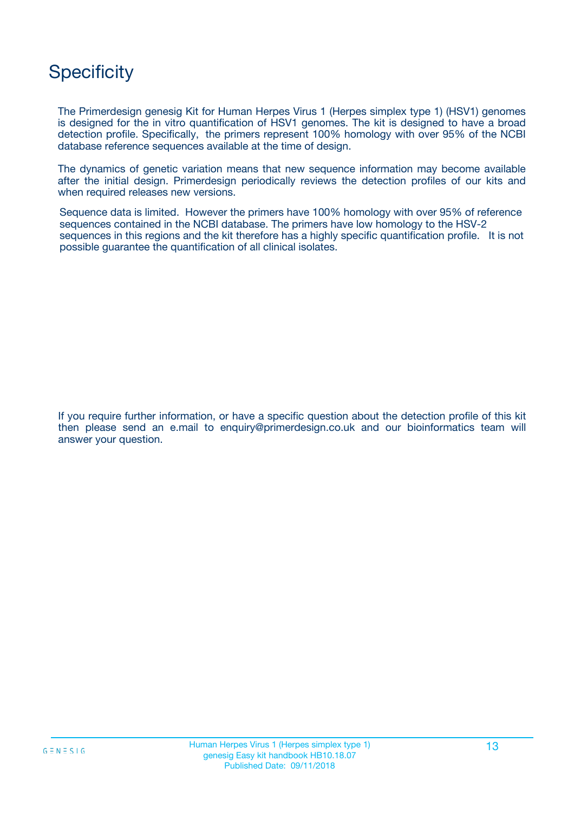## **Specificity**

The Primerdesign genesig Kit for Human Herpes Virus 1 (Herpes simplex type 1) (HSV1) genomes is designed for the in vitro quantification of HSV1 genomes. The kit is designed to have a broad detection profile. Specifically, the primers represent 100% homology with over 95% of the NCBI database reference sequences available at the time of design.

The dynamics of genetic variation means that new sequence information may become available after the initial design. Primerdesign periodically reviews the detection profiles of our kits and when required releases new versions.

Sequence data is limited. However the primers have 100% homology with over 95% of reference sequences contained in the NCBI database. The primers have low homology to the HSV-2 sequences in this regions and the kit therefore has a highly specific quantification profile. It is not possible guarantee the quantification of all clinical isolates.

If you require further information, or have a specific question about the detection profile of this kit then please send an e.mail to enquiry@primerdesign.co.uk and our bioinformatics team will answer your question.